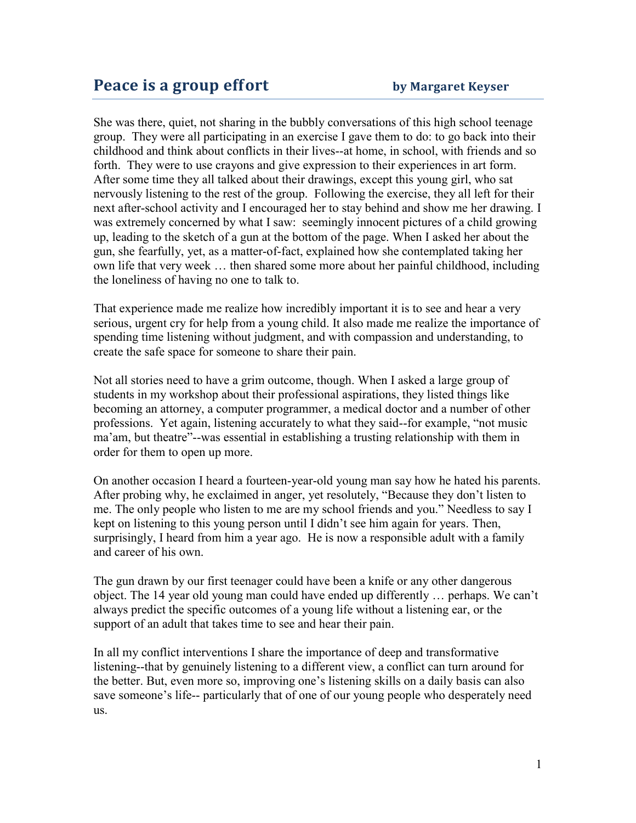She was there, quiet, not sharing in the bubbly conversations of this high school teenage group. They were all participating in an exercise I gave them to do: to go back into their childhood and think about conflicts in their lives--at home, in school, with friends and so forth. They were to use crayons and give expression to their experiences in art form. After some time they all talked about their drawings, except this young girl, who sat nervously listening to the rest of the group. Following the exercise, they all left for their next after-school activity and I encouraged her to stay behind and show me her drawing. I was extremely concerned by what I saw: seemingly innocent pictures of a child growing up, leading to the sketch of a gun at the bottom of the page. When I asked her about the gun, she fearfully, yet, as a matter-of-fact, explained how she contemplated taking her own life that very week … then shared some more about her painful childhood, including the loneliness of having no one to talk to.

That experience made me realize how incredibly important it is to see and hear a very serious, urgent cry for help from a young child. It also made me realize the importance of spending time listening without judgment, and with compassion and understanding, to create the safe space for someone to share their pain.

Not all stories need to have a grim outcome, though. When I asked a large group of students in my workshop about their professional aspirations, they listed things like becoming an attorney, a computer programmer, a medical doctor and a number of other professions. Yet again, listening accurately to what they said--for example, "not music ma'am, but theatre"--was essential in establishing a trusting relationship with them in order for them to open up more.

On another occasion I heard a fourteen-year-old young man say how he hated his parents. After probing why, he exclaimed in anger, yet resolutely, "Because they don't listen to me. The only people who listen to me are my school friends and you." Needless to say I kept on listening to this young person until I didn't see him again for years. Then, surprisingly, I heard from him a year ago. He is now a responsible adult with a family and career of his own.

The gun drawn by our first teenager could have been a knife or any other dangerous object. The 14 year old young man could have ended up differently … perhaps. We can't always predict the specific outcomes of a young life without a listening ear, or the support of an adult that takes time to see and hear their pain.

In all my conflict interventions I share the importance of deep and transformative listening--that by genuinely listening to a different view, a conflict can turn around for the better. But, even more so, improving one's listening skills on a daily basis can also save someone's life-- particularly that of one of our young people who desperately need us.